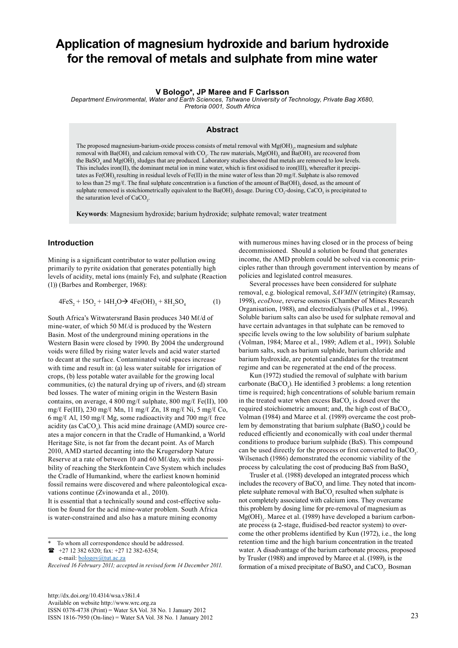# **Application of magnesium hydroxide and barium hydroxide for the removal of metals and sulphate from mine water**

# **V Bologo\*, JP Maree and F Carlsson**

*Department Environmental, Water and Earth Sciences, Tshwane University of Technology, Private Bag X680, Pretoria 0001, South Africa* 

#### **Abstract**

The proposed magnesium-barium-oxide process consists of metal removal with  $Mg(OH)_{2}$ , magnesium and sulphate removal with Ba(OH)<sub>2</sub> and calcium removal with CO<sub>2</sub>. The raw materials, Mg(OH)<sub>2</sub> and Ba(OH)<sub>2</sub> are recovered from the BaSO<sub>4</sub> and Mg(OH)<sub>2</sub> sludges that are produced. Laboratory studies showed that metals are removed to low levels. This includes iron(II), the dominant metal ion in mine water, which is first oxidised to iron(III), whereafter it precipitates as Fe(OH), resulting in residual levels of Fe(II) in the mine water of less than 20 mg/ℓ. Sulphate is also removed to less than 25 mg/ℓ. The final sulphate concentration is a function of the amount of Ba(OH)<sub>2</sub> dosed, as the amount of sulphate removed is stoichiometrically equivalent to the Ba(OH)<sub>2</sub> dosage. During CO<sub>2</sub>-dosing, CaCO<sub>3</sub> is precipitated to the saturation level of  $CaCO<sub>3</sub>$ .

**Keywords**: Magnesium hydroxide; barium hydroxide; sulphate removal; water treatment

## **Introduction**

Mining is a significant contributor to water pollution owing primarily to pyrite oxidation that generates potentially high levels of acidity, metal ions (mainly Fe), and sulphate (Reaction (1)) (Barbes and Romberger, 1968):

$$
4FeS_2 + 15O_2 + 14H_2O \rightarrow 4Fe(OH)_3 + 8H_2SO_4
$$
 (1)

South Africa's Witwatersrand Basin produces 340 Mℓ/d of mine-water, of which 50 Mℓ/d is produced by the Western Basin. Most of the underground mining operations in the Western Basin were closed by 1990. By 2004 the underground voids were filled by rising water levels and acid water started to decant at the surface. Contaminated void spaces increase with time and result in: (a) less water suitable for irrigation of crops, (b) less potable water available for the growing local communities, (c) the natural drying up of rivers, and (d) stream bed losses. The water of mining origin in the Western Basin contains, on average, 4 800 mg/ $\ell$  sulphate, 800 mg/ $\ell$  Fe(II), 100 mg/ℓ Fe(III), 230 mg/ℓ Mn, 11 mg/ℓ Zn, 18 mg/ℓ Ni, 5 mg/ℓ Co, 6 mg/ℓ Al, 150 mg/ℓ Mg, some radioactivity and 700 mg/ℓ free acidity (as  $CaCO<sub>3</sub>$ ). This acid mine drainage (AMD) source creates a major concern in that the Cradle of Humankind, a World Heritage Site, is not far from the decant point. As of March 2010, AMD started decanting into the Krugersdorp Nature Reserve at a rate of between 10 and 60 Ml/day, with the possibility of reaching the Sterkfontein Cave System which includes the Cradle of Humankind, where the earliest known hominid fossil remains were discovered and where paleontological excavations continue (Zvinowanda et al., 2010).

It is essential that a technically sound and cost-effective solution be found for the acid mine-water problem. South Africa is water-constrained and also has a mature mining economy

 +27 12 382 6320; fax: +27 12 382-6354; e-mail: **[bologov@tut.ac.za](mailto:bologov@tut.ac.za)** 

[http://dx.doi.org/10.4314/wsa.v38i1.4](http://dx.doi.org/10.4314/wsa.v37i4.18) Available on website http://www.wrc.org.za ISSN 0378-4738 (Print) = Water SA Vol. 38 No. 1 January 2012 ISSN 1816-7950 (On-line) = Water SA Vol. 38 No. 1 January 2012 23

with numerous mines having closed or in the process of being decommissioned. Should a solution be found that generates income, the AMD problem could be solved via economic principles rather than through government intervention by means of policies and legislated control measures.

Several processes have been considered for sulphate removal, e.g. biological removal, *SAVMIN* (etringite) (Ramsay, 1998), *ecoDose*, reverse osmosis (Chamber of Mines Research Organisation, 1988), and electrodialysis (Pulles et al., 1996). Soluble barium salts can also be used for sulphate removal and have certain advantages in that sulphate can be removed to specific levels owing to the low solubility of barium sulphate (Volman, 1984; Maree et al., 1989; Adlem et al., 1991). Soluble barium salts, such as barium sulphide, barium chloride and barium hydroxide, are potential candidates for the treatment regime and can be regenerated at the end of the process.

Kun (1972) studied the removal of sulphate with barium carbonate (BaCO<sub>3</sub>). He identified 3 problems: a long retention time is required; high concentrations of soluble barium remain in the treated water when excess  $BaCO<sub>3</sub>$  is dosed over the required stoichiometric amount; and, the high cost of  $BaCO<sub>3</sub>$ . Volman (1984) and Maree et al. (1989) overcame the cost problem by demonstrating that barium sulphate  $(BaSO_4)$  could be reduced efficiently and economically with coal under thermal conditions to produce barium sulphide (BaS). This compound can be used directly for the process or first converted to  $BaCO<sub>3</sub>$ . Wilsenach (1986) demonstrated the economic viability of the process by calculating the cost of producing BaS from BaSO<sub>4</sub>.

Trusler et al. (1988) developed an integrated process which includes the recovery of  $BaCO<sub>3</sub>$  and lime. They noted that incomplete sulphate removal with  $BaCO<sub>3</sub>$  resulted when sulphate is not completely associated with calcium ions. They overcame this problem by dosing lime for pre-removal of magnesium as  $Mg(OH)$ <sub>2</sub>. Maree et al. (1989) have developed a barium carbonate process (a 2-stage, fluidised-bed reactor system) to overcome the other problems identified by Kun (1972), i.e., the long retention time and the high barium concentration in the treated water. A disadvantage of the barium carbonate process, proposed by Trusler (1988) and improved by Maree et al. (1989), is the formation of a mixed precipitate of  $BaSO<sub>4</sub>$  and  $CaCO<sub>3</sub>$ . Bosman

To whom all correspondence should be addressed.

*Received 16 February 2011; accepted in revised form 14 December 2011.*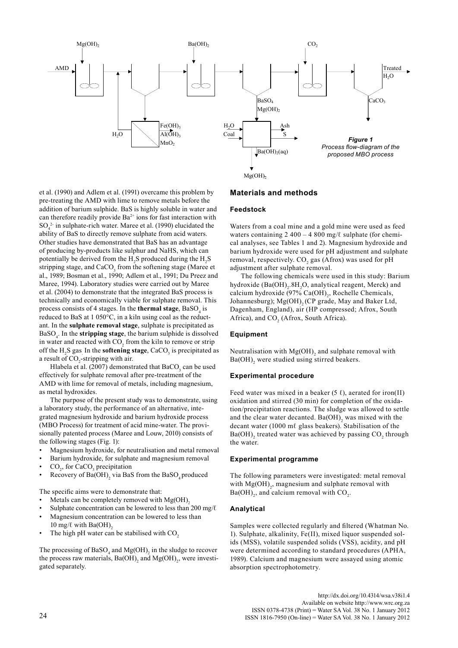

et al. (1990) and Adlem et al. (1991) overcame this problem by pre-treating the AMD with lime to remove metals before the addition of barium sulphide. BaS is highly soluble in water and can therefore readily provide  $Ba^{2+}$  ions for fast interaction with  $SO_4^2$  in sulphate-rich water. Maree et al. (1990) elucidated the ability of BaS to directly remove sulphate from acid waters. Other studies have demonstrated that BaS has an advantage of producing by-products like sulphur and NaHS, which can potentially be derived from the  $H_2S$  produced during the  $H_2S$ stripping stage, and  $CaCO<sub>3</sub>$  from the softening stage (Maree et al., 1989; Bosman et al., 1990; Adlem et al., 1991; Du Preez and Maree, 1994). Laboratory studies were carried out by Maree et al. (2004) to demonstrate that the integrated BaS process is technically and economically viable for sulphate removal. This process consists of 4 stages. In the **thermal stage**, BaSO<sub>4</sub> is reduced to BaS at 1 050°C, in a kiln using coal as the reductant. In the **sulphate removal stage**, sulphate is precipitated as BaSO4 . In the **stripping stage**, the barium sulphide is dissolved in water and reacted with  $CO_2$  from the kiln to remove or strip off the  $H_2S$  gas. In the **softening stage**,  $CaCO_3$  is precipitated as a result of  $CO_2$ -stripping with air.

Hlabela et al. (2007) demonstrated that  $\text{BaCO}_3^{\text{}}$  can be used effectively for sulphate removal after pre-treatment of the AMD with lime for removal of metals, including magnesium, as metal hydroxides.

The purpose of the present study was to demonstrate, using a laboratory study, the performance of an alternative, integrated magnesium hydroxide and barium hydroxide process (MBO Process) for treatment of acid mine-water. The provisionally patented process (Maree and Louw, 2010) consists of the following stages (Fig. 1):

- Magnesium hydroxide, for neutralisation and metal removal
- Barium hydroxide, for sulphate and magnesium removal
- $CO<sub>2</sub>$ , for CaCO<sub>3</sub> precipitation
- Recovery of  $Ba(OH)$ <sub>2</sub> via BaS from the BaSO<sub>4</sub> produced

The specific aims were to demonstrate that:

- Metals can be completely removed with  $Mg(OH)$ ,
- Sulphate concentration can be lowered to less than  $200 \text{ mg}/\ell$ Magnesium concentration can be lowered to less than
- 10 mg/ $\ell$  with Ba(OH)<sub>2</sub>
- The high pH water can be stabilised with CO<sub>2</sub>

The processing of  $BaSO_4$  and  $Mg(OH)_2$  in the sludge to recover the process raw materials,  $Ba(OH)_{2}$  and  $Mg(OH)_{2}$ , were investigated separately.

## **Materials and methods**

## **Feedstock**

Waters from a coal mine and a gold mine were used as feed waters containing  $2\,400 - 4\,800$  mg/ $\ell$  sulphate (for chemical analyses, see Tables 1 and 2). Magnesium hydroxide and barium hydroxide were used for pH adjustment and sulphate removal, respectively.  $CO_2$  gas (Afrox) was used for pH adjustment after sulphate removal.

The following chemicals were used in this study: Barium hydroxide  $(Ba(OH)<sub>2</sub>.8H<sub>2</sub>O$ , analytical reagent, Merck) and calcium hydroxide  $(97\% \text{ Ca}(\text{OH})_2)$ , Rochelle Chemicals, Johannesburg); Mg(OH), (CP grade, May and Baker Ltd, Dagenham, England), air (HP compressed; Afrox, South Africa), and  $CO<sub>2</sub>$  (Afrox, South Africa).

#### **Equipment**

Neutralisation with  $Mg(OH)$ <sub>2</sub> and sulphate removal with  $Ba(OH)$ <sub>2</sub> were studied using stirred beakers.

## **Experimental procedure**

Feed water was mixed in a beaker (5  $\ell$ ), aerated for iron(II) oxidation and stirred (30 min) for completion of the oxidation/precipitation reactions. The sludge was allowed to settle and the clear water decanted.  $Ba(OH)$ <sub>2</sub> was mixed with the decant water (1000 mℓ glass beakers). Stabilisation of the  $Ba(OH)$ <sub>2</sub> treated water was achieved by passing  $CO_2$  through the water.

#### **Experimental programme**

The following parameters were investigated: metal removal with  $Mg(OH)_{2}$ , magnesium and sulphate removal with  $Ba(OH)_{2}$ , and calcium removal with  $CO_{2}$ .

#### **Analytical**

Samples were collected regularly and filtered (Whatman No. 1). Sulphate, alkalinity, Fe(II), mixed liquor suspended solids (MSS), volatile suspended solids (VSS), acidity, and pH were determined according to standard procedures (APHA, 1989). Calcium and magnesium were assayed using atomic absorption spectrophotometry.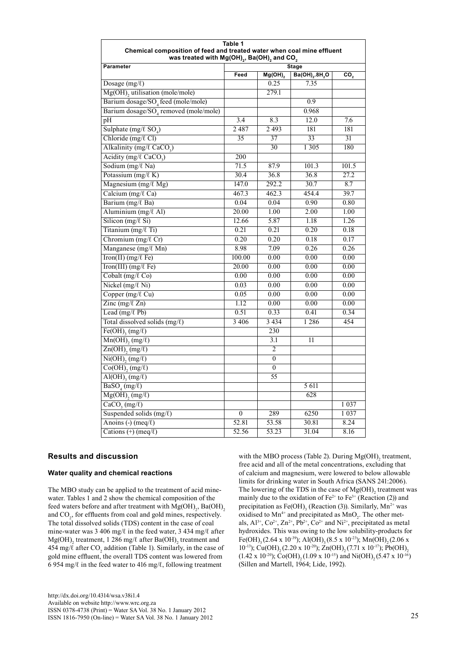| Table 1<br>Chemical composition of feed and treated water when coal mine effluent<br>was treated with Mg(OH) <sub>2</sub> , Ba(OH) <sub>2</sub> and CO <sub>2</sub> |                  |                   |                 |                 |
|---------------------------------------------------------------------------------------------------------------------------------------------------------------------|------------------|-------------------|-----------------|-----------------|
| Parameter                                                                                                                                                           | Stage            |                   |                 |                 |
|                                                                                                                                                                     | Feed             | Mg(OH)            | Ba(OH),.8H,O    | CO <sub>2</sub> |
| Dosage $(mg/\ell)$                                                                                                                                                  |                  | 0.25              | 7.35            |                 |
| Mg(OH), utilisation (mole/mole)                                                                                                                                     |                  | 279.1             |                 |                 |
| Barium dosage/SO <sub>4</sub> feed (mole/mole)                                                                                                                      |                  |                   | 0.9             |                 |
| Barium dosage/SO <sub>4</sub> removed (mole/mole)                                                                                                                   |                  |                   | 0.968           |                 |
| pН                                                                                                                                                                  | $\overline{3.4}$ | 8.3               | 12.0            | 7.6             |
| Sulphate (mg/ $\ell$ SO <sub>4</sub> )                                                                                                                              | 2487             | 2 4 9 3           | 181             | 181             |
| Chloride (mg/ $\ell$ Cl)                                                                                                                                            | 35               | 37                | 33              | 31              |
| Alkalinity (mg/l CaCO <sub>3</sub> )                                                                                                                                |                  | 30                | 1 3 0 5         | 180             |
| Acidity (mg/ $\ell$ CaCO <sub>3</sub> )                                                                                                                             | $\overline{200}$ |                   |                 |                 |
| Sodium (mg/l Na)                                                                                                                                                    | 71.5             | 87.9              | 101.3           | 101.5           |
| Potassium $(mg/\ell K)$                                                                                                                                             | 30.4             | 36.8              | 36.8            | 27.2            |
| Magnesium (mg/ $\ell$ Mg)                                                                                                                                           | 147.0            | 292.2             | 30.7            | 8.7             |
| Calcium (mg/ $\ell$ Ca)                                                                                                                                             | 467.3            | 462.3             | 454.4           | 39.7            |
| Barium (mg/l Ba)                                                                                                                                                    | 0.04             | 0.04              | 0.90            | 0.80            |
| Aluminium (mg/ $\ell$ Al)                                                                                                                                           | 20.00            | 1.00              | 2.00            | 1.00            |
| Silicon (mg/ $\ell$ Si)                                                                                                                                             | 12.66            | $\overline{5.87}$ | 1.18            | 1.26            |
| Titanium (mg/l Ti)                                                                                                                                                  | 0.21             | 0.21              | 0.20            | 0.18            |
| Chromium $(mg/\ell)$ Cr)                                                                                                                                            | 0.20             | 0.20              | 0.18            | 0.17            |
| Manganese (mg/l Mn)                                                                                                                                                 | 8.98             | 7.09              | 0.26            | 0.26            |
| $\overline{\text{Iron(II)}(\text{mg}/\ell \text{Fe})}$                                                                                                              | 100.00           | 0.00              | 0.00            | 0.00            |
| $\overline{\text{Iron(III)} (\text{mg}/\ell \text{Fe})}$                                                                                                            | 20.00            | 0.00              | 0.00            | 0.00            |
| Cobalt ( $mg/\ell$ Co)                                                                                                                                              | 0.00             | 0.00              | 0.00            | 0.00            |
| Nickel (mg/ $\ell$ Ni)                                                                                                                                              | 0.03             | 0.00              | 0.00            | 0.00            |
| Copper (mg/ $\ell$ Cu)                                                                                                                                              | 0.05             | 0.00              | 0.00            | 0.00            |
| Zinc (mg/ $\ell$ Zn)                                                                                                                                                | 1.12             | 0.00              | 0.00            | 0.00            |
| Lead $(mg/\ell$ Pb)                                                                                                                                                 | 0.51             | $0.\overline{33}$ | 0.41            | 0.34            |
| Total dissolved solids $(mg/\ell)$                                                                                                                                  | 3 4 0 6          | 3 4 3 4           | 1 2 8 6         | 454             |
| $Fe(OH)$ <sub>2</sub> (mg/ $\ell$ )                                                                                                                                 |                  | 230               |                 |                 |
| $Mn(OH)$ <sub>2</sub> (mg/ $\ell$ )                                                                                                                                 |                  | 3.1               | $\overline{11}$ |                 |
| $\overline{Zn(OH)}$ , (mg/ $\ell$ )                                                                                                                                 |                  | $\overline{c}$    |                 |                 |
| $\overline{\text{Ni(OH)}_{2}(mg/\ell)}$                                                                                                                             |                  | $\overline{0}$    |                 |                 |
| $Co(OH), (mg/\ell)$                                                                                                                                                 |                  | $\mathbf{0}$      |                 |                 |
| $\overline{Al(OH)}$ <sub>3</sub> (mg/ $\ell$ )                                                                                                                      |                  | 55                |                 |                 |
| $\overline{\text{BaSO}_4(\text{mg}/\ell)}$                                                                                                                          |                  |                   | 5 611           |                 |
| $Mg(OH)$ , $(mg/\ell)$                                                                                                                                              |                  |                   | 628             |                 |
| $CaCO$ <sub>3</sub> (mg/ $\ell$ )                                                                                                                                   |                  |                   |                 | 1 0 3 7         |
| Suspended solids $(mg/\ell)$                                                                                                                                        | $\boldsymbol{0}$ | 289               | 6250            | 1 0 3 7         |
| Anoins $\left(\text{-}\right)$ (meq/ $\ell$ )                                                                                                                       | 52.81            | 53.58             | 30.81           | 8.24            |
| Cations $(+)$ (meq/ $\ell$ )                                                                                                                                        | 52.56            | 53.23             | 31.04           | 8.16            |

# **Results and discussion**

#### **Water quality and chemical reactions**

The MBO study can be applied to the treatment of acid minewater. Tables 1 and 2 show the chemical composition of the feed waters before and after treatment with  $Mg(OH)_{2}$ , Ba $(OH)_{2}$ and  $CO<sub>2</sub>$ , for effluents from coal and gold mines, respectively. The total dissolved solids (TDS) content in the case of coal mine-water was 3 406 mg/ℓ in the feed water, 3 434 mg/ℓ after  $Mg(OH)$ <sub>2</sub> treatment, 1 286 mg/ $\ell$  after Ba(OH)<sub>2</sub> treatment and 454 mg/ $\ell$  after CO<sub>2</sub> addition (Table 1). Similarly, in the case of gold mine effluent, the overall TDS content was lowered from 6 954 mg/ $\ell$  in the feed water to 416 mg/ $\ell$ , following treatment

[http://dx.doi.org/10.4314/wsa.v38i1.4](http://dx.doi.org/10.4314/wsa.v37i4.18) Available on website http://www.wrc.org.za ISSN 0378-4738 (Print) = Water SA Vol. 38 No. 1 January 2012 ISSN 1816-7950 (On-line) = Water SA Vol. 38 No. 1 January 2012 25

with the MBO process (Table 2). During  $Mg(OH)$ <sub>2</sub> treatment, free acid and all of the metal concentrations, excluding that of calcium and magnesium, were lowered to below allowable limits for drinking water in South Africa (SANS 241:2006). The lowering of the TDS in the case of  $Mg(OH)$ <sub>2</sub> treatment was mainly due to the oxidation of  $Fe^{2+}$  to  $Fe^{3+}$  (Reaction (2)) and precipitation as  $Fe(OH)$ <sub>3</sub> (Reaction (3)). Similarly, Mn<sup>2+</sup> was oxidised to  $Mn^{4+}$  and precipitated as  $MnO_2$ . The other metals,  $Al^{3+}$ ,  $Co^{2+}$ ,  $Zn^{2+}$ ,  $Pb^{2+}$ ,  $Co^{2+}$  and  $Ni^{2+}$ , precipitated as metal hydroxides. This was owing to the low solubility-products for Fe(OH)<sub>3</sub> (2.64 x 10<sup>-39</sup>); Al(OH)<sub>3</sub> (8.5 x 10<sup>-23</sup>); Mn(OH)<sub>2</sub> (2.06 x 10<sup>-13</sup>); Cu(OH)<sub>2</sub> (2.20 x 10<sup>-20</sup>); Zn(OH)<sub>2</sub> (7.71 x 10<sup>-17</sup>); Pb(OH)<sub>2</sub>  $(1.42 \times 10^{-20})$ ; Co(OH)<sub>2</sub> (1.09 x 10<sup>-15</sup>) and Ni(OH)<sub>2</sub> (5.47 x 10<sup>-16</sup>) (Sillen and Martell, 1964; Lide, 1992).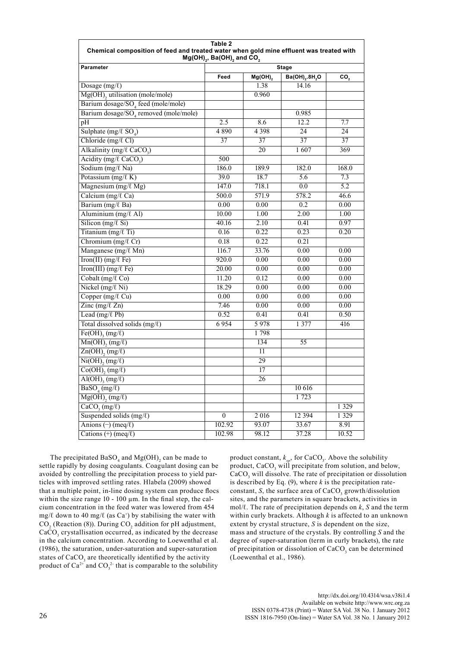| <b>Parameter</b><br><b>Stage</b><br>Ba(OH) <sub>2</sub> .8H <sub>2</sub> O<br>Feed<br>$Mg(OH)_{2}$<br>CO,<br>Dosage $(mg/\ell)$<br>1.38<br>14.16<br>Mg(OH), utilisation (mole/mole)<br>0.960<br>Barium dosage/SO <sub>4</sub> feed (mole/mole)<br>Barium dosage/SO <sub>4</sub> removed (mole/mole)<br>0.985<br>$\overline{2.5}$<br>8.6<br>12.2<br>7.7<br>pH<br>Sulphate (mg/ $\ell$ SO <sub>4</sub> )<br>4890<br>4 3 9 8<br>24<br>24<br>Chloride (mg/ $\ell$ Cl)<br>$\overline{37}$<br>37<br>37<br>37<br>Alkalinity (mg/l CaCO <sub>3</sub> )<br>$\overline{20}$<br>1607<br>369<br>Acidity (mg/ $\ell$ CaCO <sub>2</sub> )<br>500<br>Sodium (mg/l Na)<br>186.0<br>189.9<br>182.0<br>168.0<br>Potassium $(mg/\ell K)$<br>39.0<br>18.7<br>$\overline{5.6}$<br>$\overline{7.3}$<br>Magnesium $(mg/\ell Mg)$<br>147.0<br>718.1<br>$\overline{5.2}$<br>0.0<br>Calcium (mg/ $\ell$ Ca)<br>500.0<br>571.9<br>578.2<br>46.6<br>Barium (mg/l Ba)<br>0.00<br>0.00<br>0.2<br>0.00<br>Aluminium $(mg/\ell A)$<br>10.00<br>1.00<br>2.00<br>1.00<br>Silicon (mg/ $\ell$ Si)<br>$\overline{2.10}$<br>40.16<br>0.41<br>0.97<br>Titanium (mg/l Ti)<br>0.16<br>0.22<br>0.23<br>0.20<br>Chromium $(mg/\ell)$ Cr)<br>0.18<br>0.22<br>0.21<br>Manganese (mg/ $\ell$ Mn)<br>116.7<br>33.76<br>0.00<br>0.00<br>$\overline{\text{Iron(II)}(\text{mg}/\ell \text{Fe})}$<br>920.0<br>0.00<br>0.00<br>0.00<br>Iron(III) (mg/ $\ell$ Fe)<br>20.00<br>0.00<br>0.00<br>0.00<br>Cobalt (mg/ $\ell$ Co)<br>11.20<br>0.12<br>0.00<br>0.00<br>Nickel $(mg/\ell Ni)$<br>18.29<br>0.00<br>0.00<br>0.00<br>Copper (mg/ $\ell$ Cu)<br>0.00<br>0.00<br>0.00<br>0.00<br>Zinc (mg/ $\ell$ Zn)<br>7.46<br>0.00<br>0.00<br>0.00<br>Lead (mg/ $\ell$ Pb)<br>0.52<br>0.50<br>0.41<br>0.41<br>Total dissolved solids $(mg/\ell)$<br>5978<br>6954<br>1 377<br>416<br>$Fe(OH)$ <sub>2</sub> (mg/ $\ell$ )<br>1798<br>$Mn(OH), (mg/\ell)$<br>134<br>$\overline{55}$<br>$Zn(OH)$ , $(mg/\ell)$<br>$\overline{11}$<br>$\overline{\text{Ni(OH)}_{2}(mg/\ell)}$<br>29<br>$Co(OH), (mg/\ell)$<br>17<br>$\overline{Al(OH)_{3}(mg/\ell)}$<br>26<br>$\overline{\text{BaSO}_4(\text{mg}/\ell)}$<br>10 616<br>$Mg(OH), (mg/\ell)$<br>1723<br>$\overline{CaCO_{3}(mg/\ell)}$<br>1 3 2 9<br>Suspended solids $(mg/\ell)$<br>$\overline{0}$<br>2 016<br>12 3 94<br>1 3 2 9<br>Anions $(\neg)$ (meq/ $\ell$ )<br>102.92<br>93.07<br>33.67<br>8.91<br>Cations $(+)$ (meq/ $\ell$ )<br>102.98<br>98.12<br>37.28<br>10.52 | Table 2<br>Chemical composition of feed and treated water when gold mine effluent was treated with<br>$Mg(OH)_{2}$ , Ba(OH) <sub>2</sub> and CO <sub>2</sub> |  |  |  |  |
|----------------------------------------------------------------------------------------------------------------------------------------------------------------------------------------------------------------------------------------------------------------------------------------------------------------------------------------------------------------------------------------------------------------------------------------------------------------------------------------------------------------------------------------------------------------------------------------------------------------------------------------------------------------------------------------------------------------------------------------------------------------------------------------------------------------------------------------------------------------------------------------------------------------------------------------------------------------------------------------------------------------------------------------------------------------------------------------------------------------------------------------------------------------------------------------------------------------------------------------------------------------------------------------------------------------------------------------------------------------------------------------------------------------------------------------------------------------------------------------------------------------------------------------------------------------------------------------------------------------------------------------------------------------------------------------------------------------------------------------------------------------------------------------------------------------------------------------------------------------------------------------------------------------------------------------------------------------------------------------------------------------------------------------------------------------------------------------------------------------------------------------------------------------------------------------------------------------------------------------------------------------------------------------------------------------------------------------------------------------------------------------------------------------------------------------------------------|--------------------------------------------------------------------------------------------------------------------------------------------------------------|--|--|--|--|
|                                                                                                                                                                                                                                                                                                                                                                                                                                                                                                                                                                                                                                                                                                                                                                                                                                                                                                                                                                                                                                                                                                                                                                                                                                                                                                                                                                                                                                                                                                                                                                                                                                                                                                                                                                                                                                                                                                                                                                                                                                                                                                                                                                                                                                                                                                                                                                                                                                                          |                                                                                                                                                              |  |  |  |  |
|                                                                                                                                                                                                                                                                                                                                                                                                                                                                                                                                                                                                                                                                                                                                                                                                                                                                                                                                                                                                                                                                                                                                                                                                                                                                                                                                                                                                                                                                                                                                                                                                                                                                                                                                                                                                                                                                                                                                                                                                                                                                                                                                                                                                                                                                                                                                                                                                                                                          |                                                                                                                                                              |  |  |  |  |
|                                                                                                                                                                                                                                                                                                                                                                                                                                                                                                                                                                                                                                                                                                                                                                                                                                                                                                                                                                                                                                                                                                                                                                                                                                                                                                                                                                                                                                                                                                                                                                                                                                                                                                                                                                                                                                                                                                                                                                                                                                                                                                                                                                                                                                                                                                                                                                                                                                                          |                                                                                                                                                              |  |  |  |  |
|                                                                                                                                                                                                                                                                                                                                                                                                                                                                                                                                                                                                                                                                                                                                                                                                                                                                                                                                                                                                                                                                                                                                                                                                                                                                                                                                                                                                                                                                                                                                                                                                                                                                                                                                                                                                                                                                                                                                                                                                                                                                                                                                                                                                                                                                                                                                                                                                                                                          |                                                                                                                                                              |  |  |  |  |
|                                                                                                                                                                                                                                                                                                                                                                                                                                                                                                                                                                                                                                                                                                                                                                                                                                                                                                                                                                                                                                                                                                                                                                                                                                                                                                                                                                                                                                                                                                                                                                                                                                                                                                                                                                                                                                                                                                                                                                                                                                                                                                                                                                                                                                                                                                                                                                                                                                                          |                                                                                                                                                              |  |  |  |  |
|                                                                                                                                                                                                                                                                                                                                                                                                                                                                                                                                                                                                                                                                                                                                                                                                                                                                                                                                                                                                                                                                                                                                                                                                                                                                                                                                                                                                                                                                                                                                                                                                                                                                                                                                                                                                                                                                                                                                                                                                                                                                                                                                                                                                                                                                                                                                                                                                                                                          |                                                                                                                                                              |  |  |  |  |
|                                                                                                                                                                                                                                                                                                                                                                                                                                                                                                                                                                                                                                                                                                                                                                                                                                                                                                                                                                                                                                                                                                                                                                                                                                                                                                                                                                                                                                                                                                                                                                                                                                                                                                                                                                                                                                                                                                                                                                                                                                                                                                                                                                                                                                                                                                                                                                                                                                                          |                                                                                                                                                              |  |  |  |  |
|                                                                                                                                                                                                                                                                                                                                                                                                                                                                                                                                                                                                                                                                                                                                                                                                                                                                                                                                                                                                                                                                                                                                                                                                                                                                                                                                                                                                                                                                                                                                                                                                                                                                                                                                                                                                                                                                                                                                                                                                                                                                                                                                                                                                                                                                                                                                                                                                                                                          |                                                                                                                                                              |  |  |  |  |
|                                                                                                                                                                                                                                                                                                                                                                                                                                                                                                                                                                                                                                                                                                                                                                                                                                                                                                                                                                                                                                                                                                                                                                                                                                                                                                                                                                                                                                                                                                                                                                                                                                                                                                                                                                                                                                                                                                                                                                                                                                                                                                                                                                                                                                                                                                                                                                                                                                                          |                                                                                                                                                              |  |  |  |  |
|                                                                                                                                                                                                                                                                                                                                                                                                                                                                                                                                                                                                                                                                                                                                                                                                                                                                                                                                                                                                                                                                                                                                                                                                                                                                                                                                                                                                                                                                                                                                                                                                                                                                                                                                                                                                                                                                                                                                                                                                                                                                                                                                                                                                                                                                                                                                                                                                                                                          |                                                                                                                                                              |  |  |  |  |
|                                                                                                                                                                                                                                                                                                                                                                                                                                                                                                                                                                                                                                                                                                                                                                                                                                                                                                                                                                                                                                                                                                                                                                                                                                                                                                                                                                                                                                                                                                                                                                                                                                                                                                                                                                                                                                                                                                                                                                                                                                                                                                                                                                                                                                                                                                                                                                                                                                                          |                                                                                                                                                              |  |  |  |  |
|                                                                                                                                                                                                                                                                                                                                                                                                                                                                                                                                                                                                                                                                                                                                                                                                                                                                                                                                                                                                                                                                                                                                                                                                                                                                                                                                                                                                                                                                                                                                                                                                                                                                                                                                                                                                                                                                                                                                                                                                                                                                                                                                                                                                                                                                                                                                                                                                                                                          |                                                                                                                                                              |  |  |  |  |
|                                                                                                                                                                                                                                                                                                                                                                                                                                                                                                                                                                                                                                                                                                                                                                                                                                                                                                                                                                                                                                                                                                                                                                                                                                                                                                                                                                                                                                                                                                                                                                                                                                                                                                                                                                                                                                                                                                                                                                                                                                                                                                                                                                                                                                                                                                                                                                                                                                                          |                                                                                                                                                              |  |  |  |  |
|                                                                                                                                                                                                                                                                                                                                                                                                                                                                                                                                                                                                                                                                                                                                                                                                                                                                                                                                                                                                                                                                                                                                                                                                                                                                                                                                                                                                                                                                                                                                                                                                                                                                                                                                                                                                                                                                                                                                                                                                                                                                                                                                                                                                                                                                                                                                                                                                                                                          |                                                                                                                                                              |  |  |  |  |
|                                                                                                                                                                                                                                                                                                                                                                                                                                                                                                                                                                                                                                                                                                                                                                                                                                                                                                                                                                                                                                                                                                                                                                                                                                                                                                                                                                                                                                                                                                                                                                                                                                                                                                                                                                                                                                                                                                                                                                                                                                                                                                                                                                                                                                                                                                                                                                                                                                                          |                                                                                                                                                              |  |  |  |  |
|                                                                                                                                                                                                                                                                                                                                                                                                                                                                                                                                                                                                                                                                                                                                                                                                                                                                                                                                                                                                                                                                                                                                                                                                                                                                                                                                                                                                                                                                                                                                                                                                                                                                                                                                                                                                                                                                                                                                                                                                                                                                                                                                                                                                                                                                                                                                                                                                                                                          |                                                                                                                                                              |  |  |  |  |
|                                                                                                                                                                                                                                                                                                                                                                                                                                                                                                                                                                                                                                                                                                                                                                                                                                                                                                                                                                                                                                                                                                                                                                                                                                                                                                                                                                                                                                                                                                                                                                                                                                                                                                                                                                                                                                                                                                                                                                                                                                                                                                                                                                                                                                                                                                                                                                                                                                                          |                                                                                                                                                              |  |  |  |  |
|                                                                                                                                                                                                                                                                                                                                                                                                                                                                                                                                                                                                                                                                                                                                                                                                                                                                                                                                                                                                                                                                                                                                                                                                                                                                                                                                                                                                                                                                                                                                                                                                                                                                                                                                                                                                                                                                                                                                                                                                                                                                                                                                                                                                                                                                                                                                                                                                                                                          |                                                                                                                                                              |  |  |  |  |
|                                                                                                                                                                                                                                                                                                                                                                                                                                                                                                                                                                                                                                                                                                                                                                                                                                                                                                                                                                                                                                                                                                                                                                                                                                                                                                                                                                                                                                                                                                                                                                                                                                                                                                                                                                                                                                                                                                                                                                                                                                                                                                                                                                                                                                                                                                                                                                                                                                                          |                                                                                                                                                              |  |  |  |  |
|                                                                                                                                                                                                                                                                                                                                                                                                                                                                                                                                                                                                                                                                                                                                                                                                                                                                                                                                                                                                                                                                                                                                                                                                                                                                                                                                                                                                                                                                                                                                                                                                                                                                                                                                                                                                                                                                                                                                                                                                                                                                                                                                                                                                                                                                                                                                                                                                                                                          |                                                                                                                                                              |  |  |  |  |
|                                                                                                                                                                                                                                                                                                                                                                                                                                                                                                                                                                                                                                                                                                                                                                                                                                                                                                                                                                                                                                                                                                                                                                                                                                                                                                                                                                                                                                                                                                                                                                                                                                                                                                                                                                                                                                                                                                                                                                                                                                                                                                                                                                                                                                                                                                                                                                                                                                                          |                                                                                                                                                              |  |  |  |  |
|                                                                                                                                                                                                                                                                                                                                                                                                                                                                                                                                                                                                                                                                                                                                                                                                                                                                                                                                                                                                                                                                                                                                                                                                                                                                                                                                                                                                                                                                                                                                                                                                                                                                                                                                                                                                                                                                                                                                                                                                                                                                                                                                                                                                                                                                                                                                                                                                                                                          |                                                                                                                                                              |  |  |  |  |
|                                                                                                                                                                                                                                                                                                                                                                                                                                                                                                                                                                                                                                                                                                                                                                                                                                                                                                                                                                                                                                                                                                                                                                                                                                                                                                                                                                                                                                                                                                                                                                                                                                                                                                                                                                                                                                                                                                                                                                                                                                                                                                                                                                                                                                                                                                                                                                                                                                                          |                                                                                                                                                              |  |  |  |  |
|                                                                                                                                                                                                                                                                                                                                                                                                                                                                                                                                                                                                                                                                                                                                                                                                                                                                                                                                                                                                                                                                                                                                                                                                                                                                                                                                                                                                                                                                                                                                                                                                                                                                                                                                                                                                                                                                                                                                                                                                                                                                                                                                                                                                                                                                                                                                                                                                                                                          |                                                                                                                                                              |  |  |  |  |
|                                                                                                                                                                                                                                                                                                                                                                                                                                                                                                                                                                                                                                                                                                                                                                                                                                                                                                                                                                                                                                                                                                                                                                                                                                                                                                                                                                                                                                                                                                                                                                                                                                                                                                                                                                                                                                                                                                                                                                                                                                                                                                                                                                                                                                                                                                                                                                                                                                                          |                                                                                                                                                              |  |  |  |  |
|                                                                                                                                                                                                                                                                                                                                                                                                                                                                                                                                                                                                                                                                                                                                                                                                                                                                                                                                                                                                                                                                                                                                                                                                                                                                                                                                                                                                                                                                                                                                                                                                                                                                                                                                                                                                                                                                                                                                                                                                                                                                                                                                                                                                                                                                                                                                                                                                                                                          |                                                                                                                                                              |  |  |  |  |
|                                                                                                                                                                                                                                                                                                                                                                                                                                                                                                                                                                                                                                                                                                                                                                                                                                                                                                                                                                                                                                                                                                                                                                                                                                                                                                                                                                                                                                                                                                                                                                                                                                                                                                                                                                                                                                                                                                                                                                                                                                                                                                                                                                                                                                                                                                                                                                                                                                                          |                                                                                                                                                              |  |  |  |  |
|                                                                                                                                                                                                                                                                                                                                                                                                                                                                                                                                                                                                                                                                                                                                                                                                                                                                                                                                                                                                                                                                                                                                                                                                                                                                                                                                                                                                                                                                                                                                                                                                                                                                                                                                                                                                                                                                                                                                                                                                                                                                                                                                                                                                                                                                                                                                                                                                                                                          |                                                                                                                                                              |  |  |  |  |
|                                                                                                                                                                                                                                                                                                                                                                                                                                                                                                                                                                                                                                                                                                                                                                                                                                                                                                                                                                                                                                                                                                                                                                                                                                                                                                                                                                                                                                                                                                                                                                                                                                                                                                                                                                                                                                                                                                                                                                                                                                                                                                                                                                                                                                                                                                                                                                                                                                                          |                                                                                                                                                              |  |  |  |  |
|                                                                                                                                                                                                                                                                                                                                                                                                                                                                                                                                                                                                                                                                                                                                                                                                                                                                                                                                                                                                                                                                                                                                                                                                                                                                                                                                                                                                                                                                                                                                                                                                                                                                                                                                                                                                                                                                                                                                                                                                                                                                                                                                                                                                                                                                                                                                                                                                                                                          |                                                                                                                                                              |  |  |  |  |
|                                                                                                                                                                                                                                                                                                                                                                                                                                                                                                                                                                                                                                                                                                                                                                                                                                                                                                                                                                                                                                                                                                                                                                                                                                                                                                                                                                                                                                                                                                                                                                                                                                                                                                                                                                                                                                                                                                                                                                                                                                                                                                                                                                                                                                                                                                                                                                                                                                                          |                                                                                                                                                              |  |  |  |  |
|                                                                                                                                                                                                                                                                                                                                                                                                                                                                                                                                                                                                                                                                                                                                                                                                                                                                                                                                                                                                                                                                                                                                                                                                                                                                                                                                                                                                                                                                                                                                                                                                                                                                                                                                                                                                                                                                                                                                                                                                                                                                                                                                                                                                                                                                                                                                                                                                                                                          |                                                                                                                                                              |  |  |  |  |
|                                                                                                                                                                                                                                                                                                                                                                                                                                                                                                                                                                                                                                                                                                                                                                                                                                                                                                                                                                                                                                                                                                                                                                                                                                                                                                                                                                                                                                                                                                                                                                                                                                                                                                                                                                                                                                                                                                                                                                                                                                                                                                                                                                                                                                                                                                                                                                                                                                                          |                                                                                                                                                              |  |  |  |  |
|                                                                                                                                                                                                                                                                                                                                                                                                                                                                                                                                                                                                                                                                                                                                                                                                                                                                                                                                                                                                                                                                                                                                                                                                                                                                                                                                                                                                                                                                                                                                                                                                                                                                                                                                                                                                                                                                                                                                                                                                                                                                                                                                                                                                                                                                                                                                                                                                                                                          |                                                                                                                                                              |  |  |  |  |
|                                                                                                                                                                                                                                                                                                                                                                                                                                                                                                                                                                                                                                                                                                                                                                                                                                                                                                                                                                                                                                                                                                                                                                                                                                                                                                                                                                                                                                                                                                                                                                                                                                                                                                                                                                                                                                                                                                                                                                                                                                                                                                                                                                                                                                                                                                                                                                                                                                                          |                                                                                                                                                              |  |  |  |  |
|                                                                                                                                                                                                                                                                                                                                                                                                                                                                                                                                                                                                                                                                                                                                                                                                                                                                                                                                                                                                                                                                                                                                                                                                                                                                                                                                                                                                                                                                                                                                                                                                                                                                                                                                                                                                                                                                                                                                                                                                                                                                                                                                                                                                                                                                                                                                                                                                                                                          |                                                                                                                                                              |  |  |  |  |
|                                                                                                                                                                                                                                                                                                                                                                                                                                                                                                                                                                                                                                                                                                                                                                                                                                                                                                                                                                                                                                                                                                                                                                                                                                                                                                                                                                                                                                                                                                                                                                                                                                                                                                                                                                                                                                                                                                                                                                                                                                                                                                                                                                                                                                                                                                                                                                                                                                                          |                                                                                                                                                              |  |  |  |  |
|                                                                                                                                                                                                                                                                                                                                                                                                                                                                                                                                                                                                                                                                                                                                                                                                                                                                                                                                                                                                                                                                                                                                                                                                                                                                                                                                                                                                                                                                                                                                                                                                                                                                                                                                                                                                                                                                                                                                                                                                                                                                                                                                                                                                                                                                                                                                                                                                                                                          |                                                                                                                                                              |  |  |  |  |
|                                                                                                                                                                                                                                                                                                                                                                                                                                                                                                                                                                                                                                                                                                                                                                                                                                                                                                                                                                                                                                                                                                                                                                                                                                                                                                                                                                                                                                                                                                                                                                                                                                                                                                                                                                                                                                                                                                                                                                                                                                                                                                                                                                                                                                                                                                                                                                                                                                                          |                                                                                                                                                              |  |  |  |  |
|                                                                                                                                                                                                                                                                                                                                                                                                                                                                                                                                                                                                                                                                                                                                                                                                                                                                                                                                                                                                                                                                                                                                                                                                                                                                                                                                                                                                                                                                                                                                                                                                                                                                                                                                                                                                                                                                                                                                                                                                                                                                                                                                                                                                                                                                                                                                                                                                                                                          |                                                                                                                                                              |  |  |  |  |
|                                                                                                                                                                                                                                                                                                                                                                                                                                                                                                                                                                                                                                                                                                                                                                                                                                                                                                                                                                                                                                                                                                                                                                                                                                                                                                                                                                                                                                                                                                                                                                                                                                                                                                                                                                                                                                                                                                                                                                                                                                                                                                                                                                                                                                                                                                                                                                                                                                                          |                                                                                                                                                              |  |  |  |  |

The precipitated  $BaSO_4$  and  $Mg(OH)_2$  can be made to settle rapidly by dosing coagulants. Coagulant dosing can be avoided by controlling the precipitation process to yield particles with improved settling rates. Hlabela (2009) showed that a multiple point, in-line dosing system can produce flocs within the size range  $10 - 100 \mu m$ . In the final step, the calcium concentration in the feed water was lowered from 454 mg/ $\ell$  down to 40 mg/ $\ell$  (as Ca<sup>+</sup>) by stabilising the water with  $CO<sub>2</sub>$  (Reaction (8)). During  $CO<sub>2</sub>$  addition for pH adjustment,  $CaCO<sub>3</sub>$  crystallisation occurred, as indicated by the decrease in the calcium concentration. According to Loewenthal et al. (1986), the saturation, under-saturation and super-saturation states of  $CaCO<sub>3</sub>$  are theoretically identified by the activity product of  $Ca^{2+}$  and  $CO_3^{2-}$  that is comparable to the solubility

product constant,  $k_{sp}$ , for CaCO<sub>3</sub>. Above the solubility product,  $CaCO<sub>3</sub>$  will precipitate from solution, and below,  $CaCO<sub>3</sub>$  will dissolve. The rate of precipitation or dissolution is described by Eq.  $(9)$ , where *k* is the precipitation rateconstant, *S*, the surface area of  $CaCO<sub>3</sub>$  growth/dissolution sites, and the parameters in square brackets, activities in mol/ℓ. The rate of precipitation depends on *k*, *S* and the term within curly brackets. Although *k* is affected to an unknown extent by crystal structure, *S* is dependent on the size, mass and structure of the crystals. By controlling *S* and the degree of super-saturation (term in curly brackets), the rate of precipitation or dissolution of  $CaCO<sub>3</sub>$  can be determined (Loewenthal et al., 1986).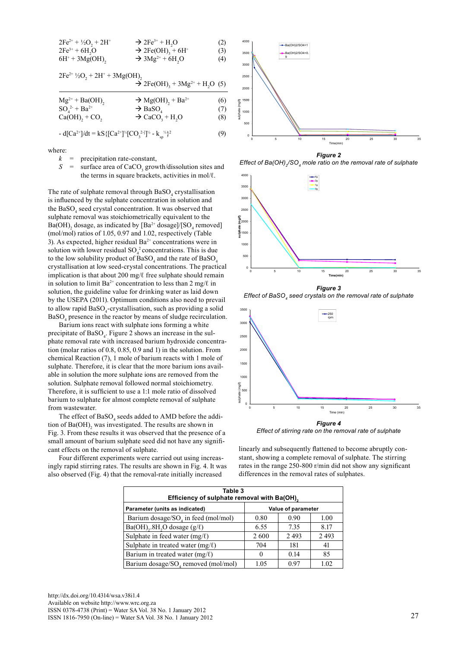| $2Fe^{2+} + \frac{1}{2}O_2 + 2H^+$ | $\rightarrow$ 2Fe <sup>3+</sup> + H <sub>2</sub> O   | (2) |
|------------------------------------|------------------------------------------------------|-----|
| $2Fe^{3+} + 6H_5O$                 | $\rightarrow$ 2Fe(OH) <sub>3</sub> + 6H <sup>+</sup> | (3) |
| $6H^+ + 3Mg(OH)$ ,                 | $\rightarrow 3Mg^{2+} + 6H_2O$                       | (4) |
|                                    |                                                      |     |

| $2Fe^{2+1}/2O_2 + 2H^+ + 3Mg(OH)$ , |                                                                               |     |
|-------------------------------------|-------------------------------------------------------------------------------|-----|
|                                     | $\rightarrow$ 2Fe(OH) <sub>3</sub> + 3Mg <sup>2+</sup> + H <sub>2</sub> O (5) |     |
| $Mg^{2+} + Ba(OH)$ ,                | $\rightarrow$ Mg(OH) <sub>2</sub> + Ba <sup>2+</sup>                          | (6) |
| $SO_4^{2-} + Ba^{2+}$               | $\rightarrow$ BaSO <sub>4</sub>                                               | (7) |
| $Ca(OH)2 + CO2$                     | $\rightarrow$ CaCO <sub>3</sub> + H <sub>2</sub> O                            | (8) |

where:

- $k =$  precipitation rate-constant,
- $S =$  surface area of CaCO<sub>3</sub> growth/dissolution sites and the terms in square brackets, activities in mol/ℓ.

The rate of sulphate removal through  $BaSO<sub>4</sub>$  crystallisation is influenced by the sulphate concentration in solution and the  $BaSO<sub>4</sub>$  seed crystal concentration. It was observed that sulphate removal was stoichiometrically equivalent to the  $Ba(OH)$ <sub>2</sub> dosage, as indicated by  $[Ba^{2+}$  dosage]/ $[SO_4$  removed] (mol/mol) ratios of 1.05, 0.97 and 1.02, respectively (Table 3). As expected, higher residual  $Ba^{2+}$  concentrations were in solution with lower residual  $SO_4^2$  concentrations. This is due to the low solubility product of BaSO<sub>4</sub> and the rate of BaSO<sub>4</sub> crystallisation at low seed-crystal concentrations. The practical implication is that about 200 mg/ℓ free sulphate should remain in solution to limit  $Ba^{2+}$  concentration to less than 2 mg/ $\ell$  in solution, the guideline value for drinking water as laid down by the USEPA (2011). Optimum conditions also need to prevail to allow rapid BaSO<sub>4</sub>-crystallisation, such as providing a solid BaSO<sub>4</sub> presence in the reactor by means of sludge recirculation.

Barium ions react with sulphate ions forming a white precipitate of  $BaSO<sub>4</sub>$ . Figure 2 shows an increase in the sulphate removal rate with increased barium hydroxide concentration (molar ratios of 0.8, 0.85, 0.9 and 1) in the solution. From chemical Reaction (7), 1 mole of barium reacts with 1 mole of sulphate. Therefore, it is clear that the more barium ions available in solution the more sulphate ions are removed from the solution. Sulphate removal followed normal stoichiometry. Therefore, it is sufficient to use a 1:1 mole ratio of dissolved barium to sulphate for almost complete removal of sulphate from wastewater.

The effect of  $BaSO<sub>4</sub>$  seeds added to AMD before the addition of  $Ba(OH)$ <sub>2</sub> was investigated. The results are shown in Fig. 3. From these results it was observed that the presence of a small amount of barium sulphate seed did not have any significant effects on the removal of sulphate.

Four different experiments were carried out using increasingly rapid stirring rates. The results are shown in Fig. 4. It was also observed (Fig. 4) that the removal-rate initially increased



*Effect of Ba(OH)2/SO4 mole ratio on the removal rate of sulphate*



*Figure 3 Effect of BaSO4 seed crystals on the removal rate of sulphate*



*Effect of stirring rate on the removal rate of sulphate*

linearly and subsequently flattened to become abruptly constant, showing a complete removal of sulphate. The stirring rates in the range 250-800 r/min did not show any significant differences in the removal rates of sulphates.

| Table 3<br>Efficiency of sulphate removal with Ba(OH). |                    |      |         |  |
|--------------------------------------------------------|--------------------|------|---------|--|
| Parameter (units as indicated)                         | Value of parameter |      |         |  |
| Barium dosage/SO <sub>4</sub> in feed (mol/mol)        | 0.80               | 0.90 | 1.00    |  |
| $Ba(OH)_{2}$ .8H <sub>2</sub> O dosage (g/ $\ell$ )    | 6.55               | 7.35 | 8.17    |  |
| Sulphate in feed water $(mg/\ell)$                     | 2600               | 2493 | 2 4 9 3 |  |
| Sulphate in treated water $(mg/\ell)$                  | 704                | 181  | 41      |  |
| Barium in treated water (mg/ $\ell$ )                  | 0                  | 0.14 | 85      |  |
| Barium dosage/SO, removed (mol/mol)                    | 1.05               | 0.97 | 1.02    |  |